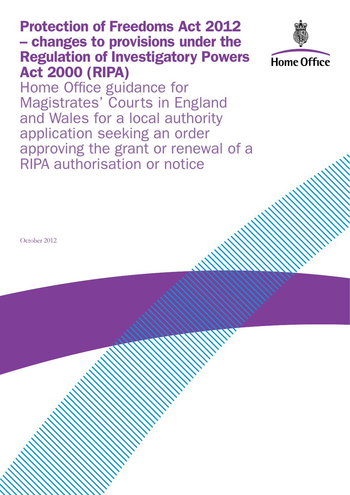# Protection of Freedoms Act 2012 – changes to provisions under the Regulation of Investigatory Powers Act 2000 (RIPA)



Home Office guidance for Magistrates' Courts in England and Wales for a local authority application seeking an order approving the grant or renewal of a RIPA authorisation or notice

October 2012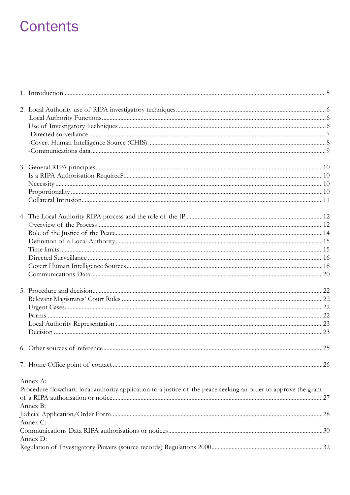# **Contents**

| Annex A:                                                                                                         |  |
|------------------------------------------------------------------------------------------------------------------|--|
| Procedure flowchart: local authority application to a justice of the peace seeking an order to approve the grant |  |
|                                                                                                                  |  |
| Annex B:                                                                                                         |  |
| Annex C:                                                                                                         |  |
|                                                                                                                  |  |
| Annex D:                                                                                                         |  |
|                                                                                                                  |  |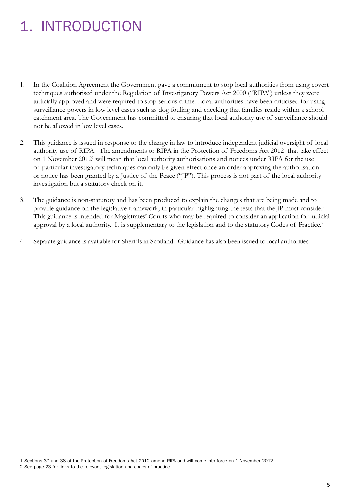# 1. INTRODUCTION

- 1. In the Coalition Agreement the Government gave a commitment to stop local authorities from using covert techniques authorised under the Regulation of Investigatory Powers Act 2000 ("RIPA") unless they were judicially approved and were required to stop serious crime. Local authorities have been criticised for using surveillance powers in low level cases such as dog fouling and checking that families reside within a school catchment area. The Government has committed to ensuring that local authority use of surveillance should not be allowed in low level cases.
- 2. This guidance is issued in response to the change in law to introduce independent judicial oversight of local authority use of RIPA. The amendments to RIPA in the Protection of Freedoms Act 2012 that take effect on 1 November 2012<sup>1</sup> will mean that local authority authorisations and notices under RIPA for the use of particular investigatory techniques can only be given effect once an order approving the authorisation or notice has been granted by a Justice of the Peace ("JP"). This process is not part of the local authority investigation but a statutory check on it.
- 3. The guidance is non-statutory and has been produced to explain the changes that are being made and to provide guidance on the legislative framework, in particular highlighting the tests that the JP must consider. This guidance is intended for Magistrates' Courts who may be required to consider an application for judicial approval by a local authority. It is supplementary to the legislation and to the statutory Codes of Practice.<sup>2</sup>
- 4. Separate guidance is available for Sheriffs in Scotland. Guidance has also been issued to local authorities.

1 Sections 37 and 38 of the Protection of Freedoms Act 2012 amend RIPA and will come into force on 1 November 2012. 2 See page 23 for links to the relevant legislation and codes of practice.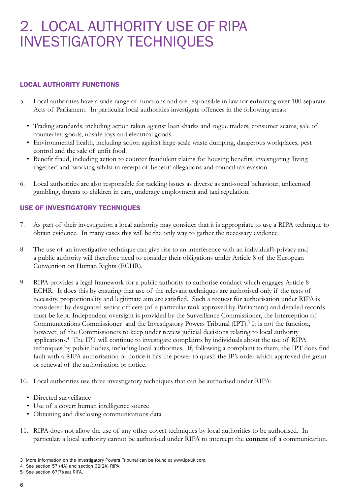# 2. LOCAL AUTHORITY USE OF RIPA INVESTIGATORY TECHNIQUES

# LOCAL AUTHORITY FUNCTIONS

- 5. Local authorities have a wide range of functions and are responsible in law for enforcing over 100 separate Acts of Parliament. In particular local authorities investigate offences in the following areas:
	- Trading standards, including action taken against loan sharks and rogue traders, consumer scams, sale of counterfeit goods, unsafe toys and electrical goods.
	- • Environmental health, including action against large-scale waste dumping, dangerous workplaces, pest control and the sale of unfit food.
	- Benefit fraud, including action to counter fraudulent claims for housing benefits, investigating 'living together' and 'working whilst in receipt of benefit' allegations and council tax evasion.
- 6. Local authorities are also responsible for tackling issues as diverse as anti-social behaviour, unlicensed gambling, threats to children in care, underage employment and taxi regulation.

# USE OF INVESTIGATORY TECHNIQUES

- 7. As part of their investigation a local authority may consider that it is appropriate to use a RIPA technique to obtain evidence. In many cases this will be the only way to gather the necessary evidence.
- 8. The use of an investigative technique can give rise to an interference with an individual's privacy and a public authority will therefore need to consider their obligations under Article 8 of the European Convention on Human Rights (ECHR).
- 9. RIPA provides a legal framework for a public authority to authorise conduct which engages Article 8 ECHR. It does this by ensuring that use of the relevant techniques are authorised only if the tests of necessity, proportionality and legitimate aim are satisfied. Such a request for authorisation under RIPA is considered by designated senior officers (of a particular rank approved by Parliament) and detailed records must be kept. Independent oversight is provided by the Surveillance Commissioner, the Interception of Communications Commissioner and the Investigatory Powers Tribunal (IPT).<sup>3</sup> It is not the function, however, of the Commissioners to keep under review judicial decisions relating to local authority applications.4 The IPT will continue to investigate complaints by individuals about the use of RIPA techniques by public bodies, including local authorities. If, following a complaint to them, the IPT does find fault with a RIPA authorisation or notice it has the power to quash the JP's order which approved the grant or renewal of the authorisation or notice.5
- 10. Local authorities use three investigatory techniques that can be authorised under RIPA:
	- Directed surveillance
	- • Use of a covert human intelligence source
	- • Obtaining and disclosing communications data
- 11. RIPA does not allow the use of any other covert techniques by local authorities to be authorised. In particular, a local authority cannot be authorised under RIPA to intercept the **content** of a communication.

<sup>3</sup> More information on the Investigatory Powers Tribunal can be found at [www.ipt-uk.com](http://www.ipt-uk.com).

<sup>4</sup> See section 57 (4A) and section 62(2A) RIPA.

<sup>5</sup> See section 67(7)(aa) RIPA.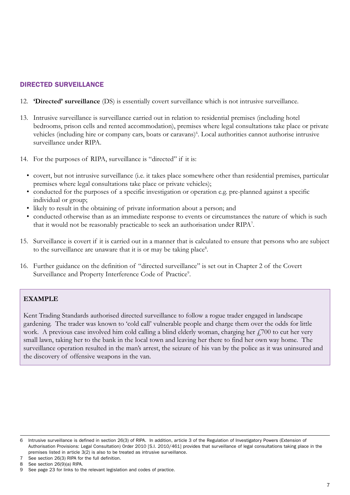# DIRECTED SURVEILLANCE

- 12. **'Directed' surveillance** (DS) is essentially covert surveillance which is not intrusive surveillance.
- 13. Intrusive surveillance is surveillance carried out in relation to residential premises (including hotel bedrooms, prison cells and rented accommodation), premises where legal consultations take place or private vehicles (including hire or company cars, boats or caravans)<sup>6</sup>. Local authorities cannot authorise intrusive surveillance under RIPA.
- 14. For the purposes of RIPA, surveillance is "directed" if it is:
	- • covert, but not intrusive surveillance (i.e. it takes place somewhere other than residential premises, particular premises where legal consultations take place or private vehicles);
	- • conducted for the purposes of a specific investigation or operation e.g. pre-planned against a specific individual or group;
	- • likely to result in the obtaining of private information about a person; and
	- conducted otherwise than as an immediate response to events or circumstances the nature of which is such that it would not be reasonably practicable to seek an authorisation under RIPA7 .
- 15. Surveillance is covert if it is carried out in a manner that is calculated to ensure that persons who are subject to the surveillance are unaware that it is or may be taking place<sup>8</sup>.
- 16. Further guidance on the definition of "directed surveillance" is set out in Chapter 2 of the Covert Surveillance and Property Interference Code of Practice<sup>9</sup>.

### **EXAMPLE**

Kent Trading Standards authorised directed surveillance to follow a rogue trader engaged in landscape gardening. The trader was known to 'cold call' vulnerable people and charge them over the odds for little work. A previous case involved him cold calling a blind elderly woman, charging her  $f$ ,700 to cut her very small lawn, taking her to the bank in the local town and leaving her there to find her own way home. The surveillance operation resulted in the man's arrest, the seizure of his van by the police as it was uninsured and the discovery of offensive weapons in the van.

<sup>6</sup> Intrusive surveillance is defined in section 26(3) of RIPA. In addition, article 3 of the Regulation of Investigatory Powers (Extension of Authorisation Provisions: Legal Consultation) Order 2010 [S.I. 2010/461] provides that surveillance of legal consultations taking place in the premises listed in article 3(2) is also to be treated as intrusive surveillance.

See section 26(3) RIPA for the full definition.

<sup>8</sup> See section 26(9)(a) RIPA.

<sup>9</sup> See page 23 for links to the relevant legislation and codes of practice.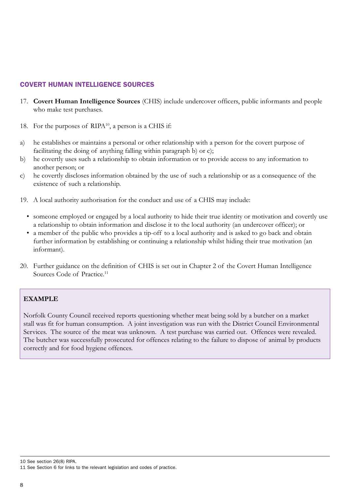## COVERT HUMAN INTELLIGENCE SOURCES

- 17. **Covert Human Intelligence Sources** (CHIS) include undercover officers, public informants and people who make test purchases.
- 18. For the purposes of RIPA<sup>10</sup>, a person is a CHIS if:
- a) he establishes or maintains a personal or other relationship with a person for the covert purpose of facilitating the doing of anything falling within paragraph b) or c);
- b) he covertly uses such a relationship to obtain information or to provide access to any information to another person; or
- c) he covertly discloses information obtained by the use of such a relationship or as a consequence of the existence of such a relationship.
- 19. A local authority authorisation for the conduct and use of a CHIS may include:
	- someone employed or engaged by a local authority to hide their true identity or motivation and covertly use a relationship to obtain information and disclose it to the local authority (an undercover officer); or
	- a member of the public who provides a tip-off to a local authority and is asked to go back and obtain further information by establishing or continuing a relationship whilst hiding their true motivation (an informant).
- 20. Further guidance on the definition of CHIS is set out in Chapter 2 of the Covert Human Intelligence Sources Code of Practice.<sup>11</sup>

### **EXAMPLE**

Norfolk County Council received reports questioning whether meat being sold by a butcher on a market stall was fit for human consumption. A joint investigation was run with the District Council Environmental Services. The source of the meat was unknown. A test purchase was carried out. Offences were revealed. The butcher was successfully prosecuted for offences relating to the failure to dispose of animal by products correctly and for food hygiene offences.

<sup>10</sup> See section 26(8) RIPA.

<sup>11</sup> See Section 6 for links to the relevant legislation and codes of practice.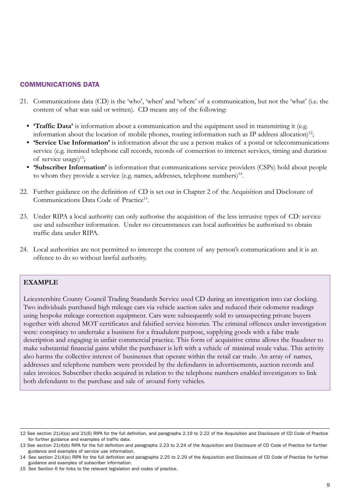## COMMUNICATIONS DATA

- 21. Communications data (CD) is the 'who', 'when' and 'where' of a communication, but not the 'what' (i.e. the content of what was said or written). CD means any of the following:
	- **Traffic Data'** is information about a communication and the equipment used in transmitting it (e.g. information about the location of mobile phones, routing information such as IP address allocation)<sup>12</sup>;
	- **• 'Service Use Information'** is information about the use a person makes of a postal or telecommunications service (e.g. itemised telephone call records, records of connection to internet services, timing and duration of service usage) $^{13}$ ;
	- **• 'Subscriber Information'** is information that communications service providers (CSPs) hold about people to whom they provide a service (e.g. names, addresses, telephone numbers) $^{14}$ .
- 22. Further guidance on the definition of CD is set out in Chapter 2 of the Acquisition and Disclosure of Communications Data Code of Practice<sup>15</sup>.
- 23. Under RIPA a local authority can only authorise the acquisition of the less intrusive types of CD: service use and subscriber information. Under no circumstances can local authorities be authorised to obtain traffic data under RIPA.
- 24. Local authorities are not permitted to intercept the content of any person's communications and it is an offence to do so without lawful authority.

#### **EXAMPLE**

Leicestershire County Council Trading Standards Service used CD during an investigation into car clocking. Two individuals purchased high mileage cars via vehicle auction sales and reduced their odometer readings using bespoke mileage correction equipment. Cars were subsequently sold to unsuspecting private buyers together with altered MOT certificates and falsified service histories. The criminal offences under investigation were: conspiracy to undertake a business for a fraudulent purpose, supplying goods with a false trade description and engaging in unfair commercial practice. This form of acquisitive crime allows the fraudster to make substantial financial gains whilst the purchaser is left with a vehicle of minimal resale value. This activity also harms the collective interest of businesses that operate within the retail car trade. An array of names, addresses and telephone numbers were provided by the defendants in advertisements, auction records and sales invoices. Subscriber checks acquired in relation to the telephone numbers enabled investigators to link both defendants to the purchase and sale of around forty vehicles.

<sup>12</sup> See section 21(4)(a) and 21(6) RIPA for the full definition, and paragraphs 2.19 to 2.22 of the Acquisition and Disclosure of CD Code of Practice for further guidance and examples of traffic data.

<sup>13</sup> See section 21(4)(b) RIPA for the full definition and paragraphs 2.23 to 2.24 of the Acquisition and Disclosure of CD Code of Practice for further guidance and examples of service use information.

<sup>14</sup> See section 21(4)(c) RIPA for the full definition and paragraphs 2.25 to 2.29 of the Acquisition and Disclosure of CD Code of Practice for further guidance and examples of subscriber information.

<sup>15</sup> See Section 6 for links to the relevant legislation and codes of practice.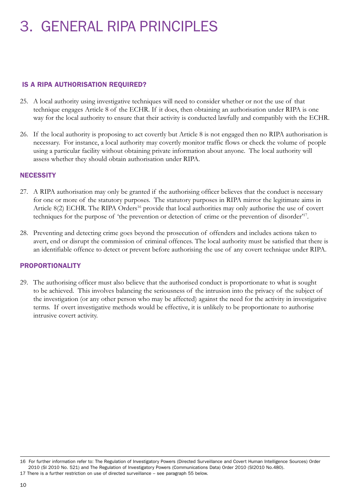# 3. GENERAL RIPA PRINCIPLES

## IS A RIPA AUTHORISATION REQUIRED?

- 25. A local authority using investigative techniques will need to consider whether or not the use of that technique engages Article 8 of the ECHR. If it does, then obtaining an authorisation under RIPA is one way for the local authority to ensure that their activity is conducted lawfully and compatibly with the ECHR.
- 26. If the local authority is proposing to act covertly but Article 8 is not engaged then no RIPA authorisation is necessary. For instance, a local authority may covertly monitor traffic flows or check the volume of people using a particular facility without obtaining private information about anyone. The local authority will assess whether they should obtain authorisation under RIPA.

#### **NECESSITY**

- 27. A RIPA authorisation may only be granted if the authorising officer believes that the conduct is necessary for one or more of the statutory purposes. The statutory purposes in RIPA mirror the legitimate aims in Article 8(2) ECHR. The RIPA Orders<sup>16</sup> provide that local authorities may only authorise the use of covert techniques for the purpose of 'the prevention or detection of crime or the prevention of disorder'17.
- 28. Preventing and detecting crime goes beyond the prosecution of offenders and includes actions taken to avert, end or disrupt the commission of criminal offences. The local authority must be satisfied that there is an identifiable offence to detect or prevent before authorising the use of any covert technique under RIPA.

### PROPORTIONALITY

29. The authorising officer must also believe that the authorised conduct is proportionate to what is sought to be achieved. This involves balancing the seriousness of the intrusion into the privacy of the subject of the investigation (or any other person who may be affected) against the need for the activity in investigative terms. If overt investigative methods would be effective, it is unlikely to be proportionate to authorise intrusive covert activity.

<sup>16</sup> For further information refer to: The Regulation of Investigatory Powers (Directed Surveillance and Covert Human Intelligence Sources) Order 2010 (SI 2010 No. 521) and The Regulation of Investigatory Powers (Communications Data) Order 2010 (SI2010 No.480). 17 There is a further restriction on use of directed surveillance – see paragraph 55 below.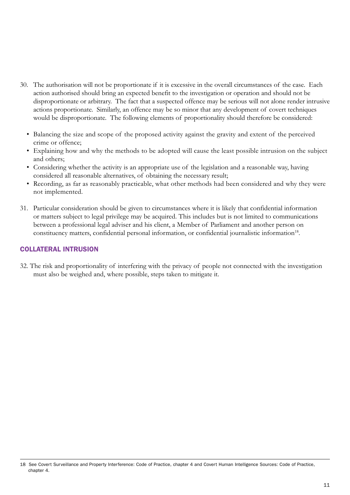- 30. The authorisation will not be proportionate if it is excessive in the overall circumstances of the case. Each action authorised should bring an expected benefit to the investigation or operation and should not be disproportionate or arbitrary. The fact that a suspected offence may be serious will not alone render intrusive actions proportionate. Similarly, an offence may be so minor that any development of covert techniques would be disproportionate. The following elements of proportionality should therefore be considered:
	- Balancing the size and scope of the proposed activity against the gravity and extent of the perceived crime or offence;
	- • Explaining how and why the methods to be adopted will cause the least possible intrusion on the subject and others;
	- Considering whether the activity is an appropriate use of the legislation and a reasonable way, having considered all reasonable alternatives, of obtaining the necessary result;
	- Recording, as far as reasonably practicable, what other methods had been considered and why they were not implemented.
- 31. Particular consideration should be given to circumstances where it is likely that confidential information or matters subject to legal privilege may be acquired. This includes but is not limited to communications between a professional legal adviser and his client, a Member of Parliament and another person on constituency matters, confidential personal information, or confidential journalistic information<sup>18</sup>.

# COLLATERAL INTRUSION

32. The risk and proportionality of interfering with the privacy of people not connected with the investigation must also be weighed and, where possible, steps taken to mitigate it.

<sup>18</sup> See Covert Surveillance and Property Interference: Code of Practice, chapter 4 and Covert Human Intelligence Sources: Code of Practice, chapter 4.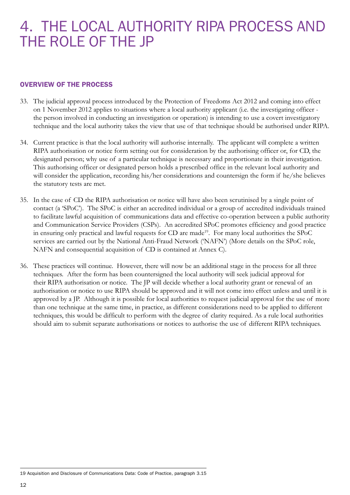# 4. THE LOCAL AUTHORITY RIPA PROCESS AND THE ROLE OF THE JP

## OVERVIEW OF THE PROCESS

- 33. The judicial approval process introduced by the Protection of Freedoms Act 2012 and coming into effect on 1 November 2012 applies to situations where a local authority applicant (i.e. the investigating officer the person involved in conducting an investigation or operation) is intending to use a covert investigatory technique and the local authority takes the view that use of that technique should be authorised under RIPA.
- 34. Current practice is that the local authority will authorise internally. The applicant will complete a written RIPA authorisation or notice form setting out for consideration by the authorising officer or, for CD, the designated person; why use of a particular technique is necessary and proportionate in their investigation. This authorising officer or designated person holds a prescribed office in the relevant local authority and will consider the application, recording his/her considerations and countersign the form if he/she believes the statutory tests are met.
- 35. In the case of CD the RIPA authorisation or notice will have also been scrutinised by a single point of contact (a 'SPoC'). The SPoC is either an accredited individual or a group of accredited individuals trained to facilitate lawful acquisition of communications data and effective co-operation between a public authority and Communication Service Providers (CSPs). An accredited SPoC promotes efficiency and good practice in ensuring only practical and lawful requests for CD are made<sup>19</sup>. For many local authorities the SPoC services are carried out by the National Anti-Fraud Network ('NAFN') (More details on the SPoC role, NAFN and consequential acquisition of CD is contained at Annex C).
- 36. These practices will continue. However, there will now be an additional stage in the process for all three techniques. After the form has been countersigned the local authority will seek judicial approval for their RIPA authorisation or notice. The JP will decide whether a local authority grant or renewal of an authorisation or notice to use RIPA should be approved and it will not come into effect unless and until it is approved by a JP. Although it is possible for local authorities to request judicial approval for the use of more than one technique at the same time, in practice, as different considerations need to be applied to different techniques, this would be difficult to perform with the degree of clarity required. As a rule local authorities should aim to submit separate authorisations or notices to authorise the use of different RIPA techniques.

<sup>19</sup> Acquisition and Disclosure of Communications Data: Code of Practice, paragraph 3.15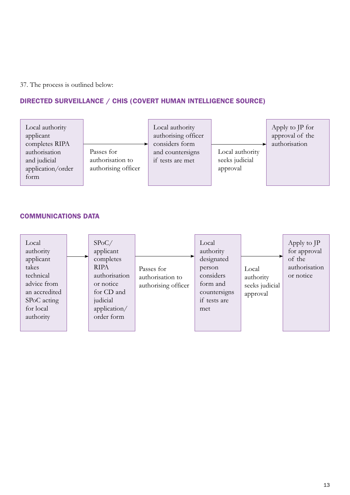37. The process is outlined below:

# DIRECTED SURVEILLANCE / CHIS (COVERT HUMAN INTELLIGENCE SOURCE)



## COMMUNICATIONS DATA

| Local<br>authority<br>applicant<br>takes<br>technical<br>advice from<br>an accredited<br>SPoC acting<br>for local<br>authority |  | SPoC/<br>applicant<br>completes<br><b>RIPA</b><br>authorisation<br>or notice<br>for CD and<br>judicial<br>application/<br>order form | Passes for<br>authorisation to<br>authorising officer | Local<br>authority<br>designated<br>person<br>considers<br>form and<br>countersigns<br>if tests are<br>met | Local<br>authority<br>seeks judicial<br>approval | Apply to JP<br>for approval<br>of the<br>authorisation<br>or notice |
|--------------------------------------------------------------------------------------------------------------------------------|--|--------------------------------------------------------------------------------------------------------------------------------------|-------------------------------------------------------|------------------------------------------------------------------------------------------------------------|--------------------------------------------------|---------------------------------------------------------------------|
|--------------------------------------------------------------------------------------------------------------------------------|--|--------------------------------------------------------------------------------------------------------------------------------------|-------------------------------------------------------|------------------------------------------------------------------------------------------------------------|--------------------------------------------------|---------------------------------------------------------------------|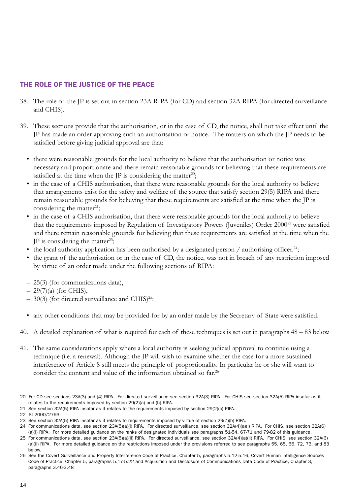# THE ROLE OF THE JUSTICE OF THE PEACE

- 38. The role of the JP is set out in section 23A RIPA (for CD) and section 32A RIPA (for directed surveillance and CHIS).
- 39. These sections provide that the authorisation, or in the case of CD, the notice, shall not take effect until the JP has made an order approving such an authorisation or notice. The matters on which the JP needs to be satisfied before giving judicial approval are that:
	- there were reasonable grounds for the local authority to believe that the authorisation or notice was necessary and proportionate and there remain reasonable grounds for believing that these requirements are satisfied at the time when the JP is considering the matter<sup>20</sup>;
	- in the case of a CHIS authorisation, that there were reasonable grounds for the local authority to believe that arrangements exist for the safety and welfare of the source that satisfy section 29(5) RIPA and there remain reasonable grounds for believing that these requirements are satisfied at the time when the JP is considering the matter<sup>21</sup>;
	- in the case of a CHIS authorisation, that there were reasonable grounds for the local authority to believe that the requirements imposed by Regulation of Investigatory Powers (Juveniles) Order 2000<sup>22</sup> were satisfied and there remain reasonable grounds for believing that these requirements are satisfied at the time when the JP is considering the matter<sup>23</sup>;
	- the local authority application has been authorised by a designated person / authorising officer.<sup>24</sup>;
	- the grant of the authorisation or in the case of CD, the notice, was not in breach of any restriction imposed by virtue of an order made under the following sections of RIPA:
	- 25(3) (for communications data),
	- $-29(7)(a)$  (for CHIS),
	- $-$  30(3) (for directed surveillance and CHIS)<sup>25</sup>:
	- any other conditions that may be provided for by an order made by the Secretary of State were satisfied.
- 40. A detailed explanation of what is required for each of these techniques is set out in paragraphs 48 83 below.
- 41. The same considerations apply where a local authority is seeking judicial approval to continue using a technique (i.e. a renewal). Although the JP will wish to examine whether the case for a more sustained interference of Article 8 still meets the principle of proportionality. In particular he or she will want to consider the content and value of the information obtained so far.<sup>26</sup>

<sup>20</sup> For CD see sections 23A(3) and (4) RIPA. For directed surveillance see section 32A(3) RIPA. For CHIS see section 32A(5) RIPA insofar as it relates to the requirements imposed by section 29(2)(a) and (b) RIPA.

<sup>21</sup> See section 32A(5) RIPA insofar as it relates to the requirements imposed by section 29(2)(c) RIPA.

<sup>22</sup> SI 2000/2793.

<sup>23</sup> See section 32A(5) RIPA insofar as it relates to requirements imposed by virtue of section 29(7)(b) RIPA.

<sup>24</sup> For communications data, see section 23A(5)(a)(i) RIPA. For directed surveillance, see section 32A(4)(a)(i) RIPA. For CHIS, see section 32A(6) (a)(i) RIPA. For more detailed guidance on the ranks of designated individuals see paragraphs 51-54, 67-71 and 79-82 of this guidance.

<sup>25</sup> For communications data, see section 23A(5)(a)(ii) RIPA. For directed surveillance, see section 32A(4)(a)(ii) RIPA. For CHIS, see section 32A(6) (a)(ii) RIPA. For more detailed guidance on the restrictions imposed under the provisions referred to see paragraphs 55, 65, 66, 72, 73, and 83 below.

<sup>26</sup> See the Covert Surveillance and Property Interference Code of Practice, Chapter 5, paragraphs 5.12-5.16, Covert Human Intelligence Sources Code of Practice, Chapter 5, paragraphs 5.17-5.22 and Acquisition and Disclosure of Communications Data Code of Practice, Chapter 3, paragraphs 3.46-3.48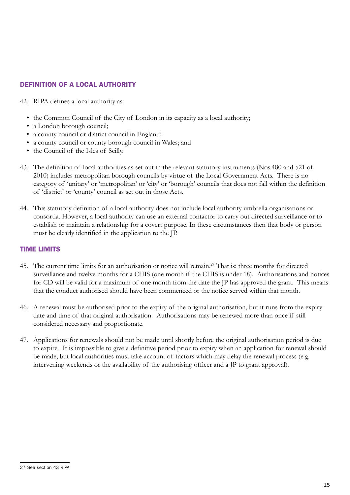# DEFINITION OF A LOCAL AUTHORITY

- 42. RIPA defines a local authority as:
	- the Common Council of the City of London in its capacity as a local authority;
	- a London borough council;
	- a county council or district council in England;
	- a county council or county borough council in Wales; and
	- the Council of the Isles of Scilly.
- 43. The definition of local authorities as set out in the relevant statutory instruments (Nos.480 and 521 of 2010) includes metropolitan borough councils by virtue of the Local Government Acts. There is no category of 'unitary' or 'metropolitan' or 'city' or 'borough' councils that does not fall within the definition of 'district' or 'county' council as set out in those Acts.
- 44. This statutory definition of a local authority does not include local authority umbrella organisations or consortia. However, a local authority can use an external contactor to carry out directed surveillance or to establish or maintain a relationship for a covert purpose. In these circumstances then that body or person must be clearly identified in the application to the JP.

## TIME LIMITS

- 45. The current time limits for an authorisation or notice will remain.<sup>27</sup> That is: three months for directed surveillance and twelve months for a CHIS (one month if the CHIS is under 18). Authorisations and notices for CD will be valid for a maximum of one month from the date the JP has approved the grant. This means that the conduct authorised should have been commenced or the notice served within that month.
- 46. A renewal must be authorised prior to the expiry of the original authorisation, but it runs from the expiry date and time of that original authorisation. Authorisations may be renewed more than once if still considered necessary and proportionate.
- 47. Applications for renewals should not be made until shortly before the original authorisation period is due to expire. It is impossible to give a definitive period prior to expiry when an application for renewal should be made, but local authorities must take account of factors which may delay the renewal process (e.g. intervening weekends or the availability of the authorising officer and a JP to grant approval).

<sup>27</sup> See section 43 RIPA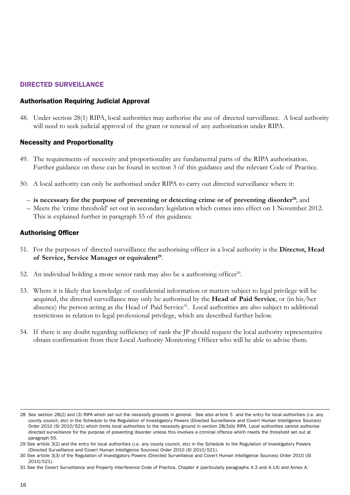# DIRECTED SURVEILLANCE

## Authorisation Requiring Judicial Approval

48. Under section 28(1) RIPA, local authorities may authorise the use of directed surveillance. A local authority will need to seek judicial approval of the grant or renewal of any authorisation under RIPA.

### Necessity and Proportionality

- 49. The requirements of necessity and proportionality are fundamental parts of the RIPA authorisation. Further guidance on these can be found in section 3 of this guidance and the relevant Code of Practice.
- 50. A local authority can only be authorised under RIPA to carry out directed surveillance where it:
	- **is necessary for the purpose of preventing or detecting crime or of preventing disorder28**; and
	- Meets the 'crime threshold' set out in secondary legislation which comes into effect on 1 November 2012. This is explained further in paragraph 55 of this guidance.

## Authorising Officer

- 51. For the purposes of directed surveillance the authorising officer in a local authority is the **Director, Head**  of Service, Service Manager or equivalent<sup>29</sup>.
- 52. An individual holding a more senior rank may also be a authorising officer<sup>30</sup>.
- 53. Where it is likely that knowledge of confidential information or matters subject to legal privilege will be acquired, the directed surveillance may only be authorised by the **Head of Paid Service**, or (in his/her absence) the person acting as the Head of Paid Service<sup>31</sup>. Local authorities are also subject to additional restrictions in relation to legal professional privilege, which are described further below.
- 54. If there is any doubt regarding sufficiency of rank the JP should request the local authority representative obtain confirmation from their Local Authority Monitoring Officer who will be able to advise them.

<sup>28</sup> See section 28(2) and (3) RIPA which set out the necessity grounds in general. See also article 5 and the entry for local authorities (i.e. any county council, etc) in the Schedule to the Regulation of Investigatory Powers (Directed Surveillance and Covert Human Intelligence Sources) Order 2010 (SI 2010/521) which limits local authorities to the necessity ground in section 28(3)(b) RIPA. Local authorities cannot authorise directed surveillance for the purpose of preventing disorder unless this involves a criminal offence which meets the threshold set out at paragraph 55.

<sup>29</sup> See article 3(2) and the entry for local authorities (i.e. any county council, etc) in the Schedule to the Regulation of Investigatory Powers (Directed Surveillance and Covert Human Intelligence Sources) Order 2010 (SI 2010/521).

<sup>30</sup> See article 3(3) of the Regulation of Investigatory Powers (Directed Surveillance and Covert Human Intelligence Sources) Order 2010 (SI 2010/521).

<sup>31</sup> See the Covert Surveillance and Property Interference Code of Practice, Chapter 4 (particularly paragraphs 4.3 and 4.14) and Annex A.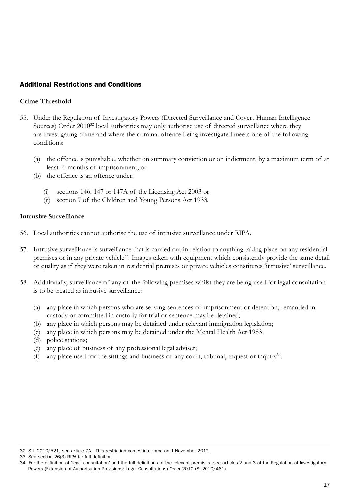## Additional Restrictions and Conditions

## **Crime Threshold**

- 55. Under the Regulation of Investigatory Powers (Directed Surveillance and Covert Human Intelligence Sources) Order 2010<sup>32</sup> local authorities may only authorise use of directed surveillance where they are investigating crime and where the criminal offence being investigated meets one of the following conditions:
	- (a) the offence is punishable, whether on summary conviction or on indictment, by a maximum term of at least 6 months of imprisonment, or
	- (b) the offence is an offence under:
		- (i) sections 146, 147 or 147A of the Licensing Act 2003 or
		- (ii) section 7 of the Children and Young Persons Act 1933.

## **Intrusive Surveillance**

- 56. Local authorities cannot authorise the use of intrusive surveillance under RIPA.
- 57. Intrusive surveillance is surveillance that is carried out in relation to anything taking place on any residential premises or in any private vehicle<sup>33</sup>. Images taken with equipment which consistently provide the same detail or quality as if they were taken in residential premises or private vehicles constitutes 'intrusive' surveillance.
- 58. Additionally, surveillance of any of the following premises whilst they are being used for legal consultation is to be treated as intrusive surveillance:
	- (a) any place in which persons who are serving sentences of imprisonment or detention, remanded in custody or committed in custody for trial or sentence may be detained;
	- (b) any place in which persons may be detained under relevant immigration legislation;
	- (c) any place in which persons may be detained under the Mental Health Act 1983;
	- (d) police stations;
	- (e) any place of business of any professional legal adviser;
	- (f) any place used for the sittings and business of any court, tribunal, inquest or inquiry<sup>34</sup>.

<sup>32</sup> S.I. 2010/521, see article 7A. This restriction comes into force on 1 November 2012.

<sup>33</sup> See section 26(3) RIPA for full definition.

<sup>34</sup> For the definition of 'legal consultation' and the full definitions of the relevant premises, see articles 2 and 3 of the Regulation of Investigatory Powers (Extension of Authorisation Provisions: Legal Consultations) Order 2010 (SI 2010/461).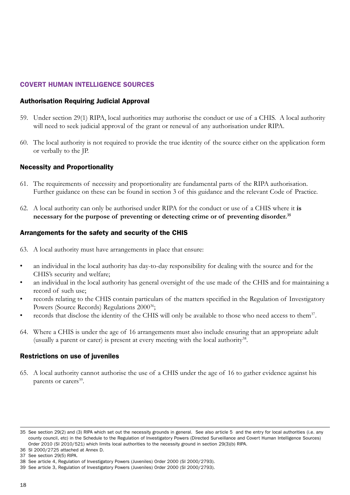## COVERT HUMAN INTELLIGENCE SOURCES

### Authorisation Requiring Judicial Approval

- 59. Under section 29(1) RIPA, local authorities may authorise the conduct or use of a CHIS. A local authority will need to seek judicial approval of the grant or renewal of any authorisation under RIPA.
- 60. The local authority is not required to provide the true identity of the source either on the application form or verbally to the JP.

#### Necessity and Proportionality

- 61. The requirements of necessity and proportionality are fundamental parts of the RIPA authorisation. Further guidance on these can be found in section 3 of this guidance and the relevant Code of Practice.
- 62. A local authority can only be authorised under RIPA for the conduct or use of a CHIS where it **is necessary for the purpose of preventing or detecting crime or of preventing disorder.35**

#### Arrangements for the safety and security of the CHIS

- 63. A local authority must have arrangements in place that ensure:
- an individual in the local authority has day-to-day responsibility for dealing with the source and for the CHIS's security and welfare;
- an individual in the local authority has general oversight of the use made of the CHIS and for maintaining a record of such use;
- records relating to the CHIS contain particulars of the matters specified in the Regulation of Investigatory Powers (Source Records) Regulations 2000<sup>36</sup>;
- records that disclose the identity of the CHIS will only be available to those who need access to them<sup>37</sup>.
- 64. Where a CHIS is under the age of 16 arrangements must also include ensuring that an appropriate adult (usually a parent or carer) is present at every meeting with the local authority<sup>38</sup>.

#### Restrictions on use of juveniles

65. A local authority cannot authorise the use of a CHIS under the age of 16 to gather evidence against his parents or carers<sup>39</sup>.

<sup>35</sup> See section 29(2) and (3) RIPA which set out the necessity grounds in general. See also article 5 and the entry for local authorities (i.e. any county council, etc) in the Schedule to the Regulation of Investigatory Powers (Directed Surveillance and Covert Human Intelligence Sources) Order 2010 (SI 2010/521) which limits local authorities to the necessity ground in section 29(3)(b) RIPA.

<sup>36</sup> SI 2000/2725 attached at Annex D.

<sup>37</sup> See section 29(5) RIPA.

<sup>38</sup> See article 4, Regulation of Investigatory Powers (Juveniles) Order 2000 (SI 2000/2793).

<sup>39</sup> See article 3, Regulation of Investigatory Powers (Juveniles) Order 2000 (SI 2000/2793).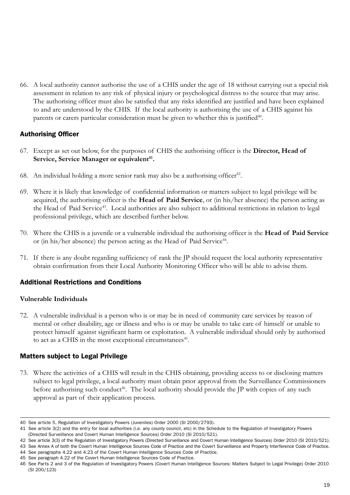66. A local authority cannot authorise the use of a CHIS under the age of 18 without carrying out a special risk assessment in relation to any risk of physical injury or psychological distress to the source that may arise. The authorising officer must also be satisfied that any risks identified are justified and have been explained to and are understood by the CHIS. If the local authority is authorising the use of a CHIS against his parents or carers particular consideration must be given to whether this is justified $40$ .

## Authorising Officer

- 67. Except as set out below, for the purposes of CHIS the authorising officer is the **Director, Head of**  Service, Service Manager or equivalent<sup>41</sup>.
- 68. An individual holding a more senior rank may also be a authorising officer<sup>42</sup>.
- 69. Where it is likely that knowledge of confidential information or matters subject to legal privilege will be acquired, the authorising officer is the **Head of Paid Service**, or (in his/her absence) the person acting as the Head of Paid Service<sup>43</sup>. Local authorities are also subject to additional restrictions in relation to legal professional privilege, which are described further below.
- 70. Where the CHIS is a juvenile or a vulnerable individual the authorising officer is the **Head of Paid Service** or (in his/her absence) the person acting as the Head of Paid Service<sup>44</sup>.
- 71. If there is any doubt regarding sufficiency of rank the JP should request the local authority representative obtain confirmation from their Local Authority Monitoring Officer who will be able to advise them.

## Additional Restrictions and Conditions

### **Vulnerable Individuals**

72. A vulnerable individual is a person who is or may be in need of community care services by reason of mental or other disability, age or illness and who is or may be unable to take care of himself or unable to protect himself against significant harm or exploitation. A vulnerable individual should only by authorised to act as a CHIS in the most exceptional circumstances<sup>45</sup>.

### Matters subject to Legal Privilege

73. Where the activities of a CHIS will result in the CHIS obtaining, providing access to or disclosing matters subject to legal privilege, a local authority must obtain prior approval from the Surveillance Commissioners before authorising such conduct<sup>46</sup>. The local authority should provide the  $IP$  with copies of any such approval as part of their application process.

<sup>40</sup> See article 5, Regulation of Investigatory Powers (Juveniles) Order 2000 (SI 2000/2793).

<sup>41</sup> See article 3(2) and the entry for local authorities (i.e. any county council, etc) in the Schedule to the Regulation of Investigatory Powers (Directed Surveillance and Covert Human Intelligence Sources) Order 2010 (SI 2010/521).

<sup>42</sup> See article 3(3) of the Regulation of Investigatory Powers (Directed Surveillance and Covert Human Intelligence Sources) Order 2010 (SI 2010/521).

<sup>43</sup> See Annex A of both the Covert Human Intelligence Sources Code of Practice and the Covert Surveillance and Property Interference Code of Practice.

<sup>44</sup> See paragraphs 4.22 and 4.23 of the Covert Human Intelligence Sources Code of Practice.

<sup>45</sup> See paragraph 4.22 of the Covert Human Intelligence Sources Code of Practice.

<sup>46</sup> See Parts 2 and 3 of the Regulation of Investigatory Powers (Covert Human Intelligence Sources: Matters Subject to Legal Privilege) Order 2010 (SI 200/123)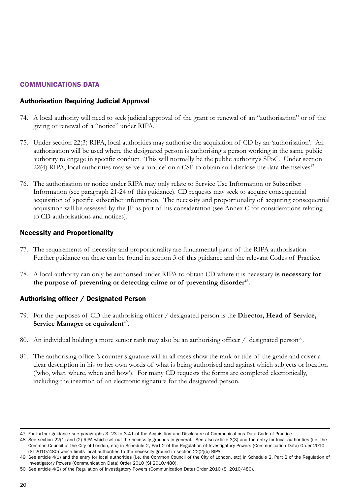## COMMUNICATIONS DATA

## Authorisation Requiring Judicial Approval

- 74. A local authority will need to seek judicial approval of the grant or renewal of an "authorisation" or of the giving or renewal of a "notice" under RIPA.
- 75. Under section 22(3) RIPA, local authorities may authorise the acquisition of CD by an 'authorisation'. An authorisation will be used where the designated person is authorising a person working in the same public authority to engage in specific conduct. This will normally be the public authority's SPoC. Under section 22(4) RIPA, local authorities may serve a 'notice' on a CSP to obtain and disclose the data themselves<sup>47</sup>.
- 76. The authorisation or notice under RIPA may only relate to Service Use Information or Subscriber Information (see paragraph 21-24 of this guidance). CD requests may seek to acquire consequential acquisition of specific subscriber information. The necessity and proportionality of acquiring consequential acquisition will be assessed by the JP as part of his consideration (see Annex C for considerations relating to CD authorisations and notices).

### Necessity and Proportionality

- 77. The requirements of necessity and proportionality are fundamental parts of the RIPA authorisation. Further guidance on these can be found in section 3 of this guidance and the relevant Codes of Practice.
- 78. A local authority can only be authorised under RIPA to obtain CD where it is necessary **is necessary for**  the purpose of preventing or detecting crime or of preventing disorder<sup>48</sup>.

## Authorising officer / Designated Person

- 79. For the purposes of CD the authorising officer / designated person is the **Director, Head of Service, Service Manager or equivalent<sup>49</sup>.**
- 80. An individual holding a more senior rank may also be an authorising officer  $\ell$  designated person<sup>50</sup>.
- 81. The authorising officer's counter signature will in all cases show the rank or title of the grade and cover a clear description in his or her own words of what is being authorised and against which subjects or location ('who, what, where, when and how'). For many CD requests the forms are completed electronically, including the insertion of an electronic signature for the designated person.

<sup>47</sup> For further guidance see paragraphs 3. 23 to 3.41 of the Acquisition and Disclosure of Communications Data Code of Practice.

<sup>48</sup> See section 22(1) and (2) RIPA which set out the necessity grounds in general. See also article 3(3) and the entry for local authorities (i.e. the Common Council of the City of London, etc) in Schedule 2, Part 2 of the Regulation of Investigatory Powers (Communication Data) Order 2010 (SI 2010/480) which limits local authorities to the necessity ground in section 22(2)(b) RIPA.

<sup>49</sup> See article 4(1) and the entry for local authorities (i.e. the Common Council of the City of London, etc) in Schedule 2, Part 2 of the Regulation of Investigatory Powers (Communication Data) Order 2010 (SI 2010/480).

<sup>50</sup> See article 4(2) of the Regulation of Investigatory Powers (Communication Data) Order 2010 (SI 2010/480).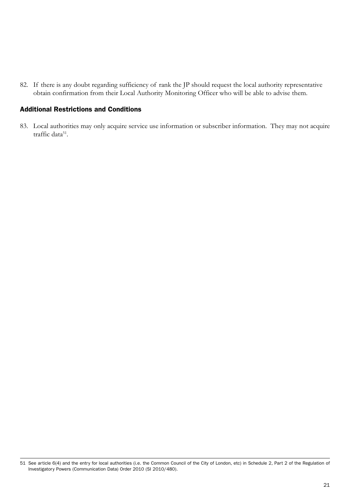82. If there is any doubt regarding sufficiency of rank the JP should request the local authority representative obtain confirmation from their Local Authority Monitoring Officer who will be able to advise them.

### Additional Restrictions and Conditions

83. Local authorities may only acquire service use information or subscriber information. They may not acquire traffic data<sup>51</sup>.

<sup>51</sup> See article 6(4) and the entry for local authorities (i.e. the Common Council of the City of London, etc) in Schedule 2, Part 2 of the Regulation of Investigatory Powers (Communication Data) Order 2010 (SI 2010/480).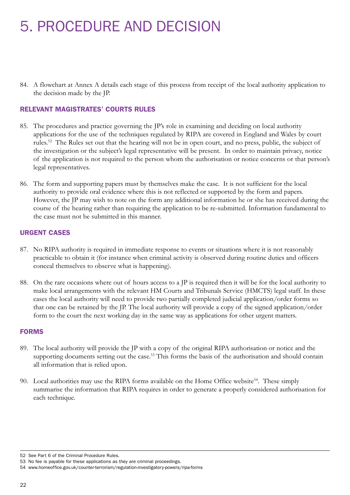# 5. PROCEDURE AND DECISION

84. A flowchart at Annex A details each stage of this process from receipt of the local authority application to the decision made by the JP.

## RELEVANT MAGISTRATES' COURTS RULES

- 85. The procedures and practice governing the JP's role in examining and deciding on local authority applications for the use of the techniques regulated by RIPA are covered in England and Wales by court rules.52 The Rules set out that the hearing will not be in open court, and no press, public, the subject of the investigation or the subject's legal representative will be present. In order to maintain privacy, notice of the application is not required to the person whom the authorisation or notice concerns or that person's legal representatives.
- 86. The form and supporting papers must by themselves make the case. It is not sufficient for the local authority to provide oral evidence where this is not reflected or supported by the form and papers. However, the JP may wish to note on the form any additional information he or she has received during the course of the hearing rather than requiring the application to be re-submitted. Information fundamental to the case must not be submitted in this manner.

## URGENT CASES

- 87. No RIPA authority is required in immediate response to events or situations where it is not reasonably practicable to obtain it (for instance when criminal activity is observed during routine duties and officers conceal themselves to observe what is happening).
- 88. On the rare occasions where out of hours access to a JP is required then it will be for the local authority to make local arrangements with the relevant HM Courts and Tribunals Service (HMCTS) legal staff. In these cases the local authority will need to provide two partially completed judicial application/order forms so that one can be retained by the JP. The local authority will provide a copy of the signed application/order form to the court the next working day in the same way as applications for other urgent matters.

### FORMS

- 89. The local authority will provide the JP with a copy of the original RIPA authorisation or notice and the supporting documents setting out the case.<sup>53</sup> This forms the basis of the authorisation and should contain all information that is relied upon.
- 90. Local authorities may use the RIPA forms available on the Home Office website<sup>54</sup>. These simply summarise the information that RIPA requires in order to generate a properly considered authorisation for each technique.

<sup>52</sup> See Part 6 of the Criminal Procedure Rules.

<sup>53</sup> No fee is payable for these applications as they are criminal proceedings.

<sup>54</sup> <www.homeoffice.gov.uk/counter-terrorism/regulation-investigatory-powers/ripa-forms>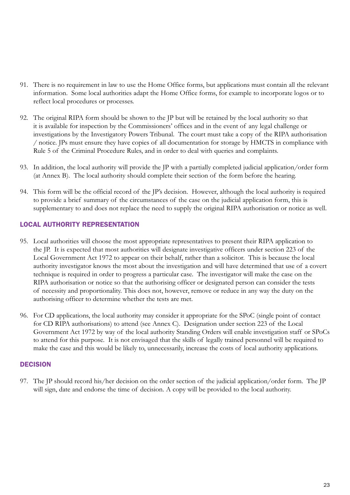- 91. There is no requirement in law to use the Home Office forms, but applications must contain all the relevant information. Some local authorities adapt the Home Office forms, for example to incorporate logos or to reflect local procedures or processes.
- 92. The original RIPA form should be shown to the JP but will be retained by the local authority so that it is available for inspection by the Commissioners' offices and in the event of any legal challenge or investigations by the Investigatory Powers Tribunal. The court must take a copy of the RIPA authorisation / notice. JPs must ensure they have copies of all documentation for storage by HMCTS in compliance with Rule 5 of the Criminal Procedure Rules, and in order to deal with queries and complaints.
- 93. In addition, the local authority will provide the JP with a partially completed judicial application/order form (at Annex B). The local authority should complete their section of the form before the hearing.
- 94. This form will be the official record of the JP's decision. However, although the local authority is required to provide a brief summary of the circumstances of the case on the judicial application form, this is supplementary to and does not replace the need to supply the original RIPA authorisation or notice as well.

## LOCAL AUTHORITY REPRESENTATION

- 95. Local authorities will choose the most appropriate representatives to present their RIPA application to the JP. It is expected that most authorities will designate investigative officers under section 223 of the Local Government Act 1972 to appear on their behalf, rather than a solicitor. This is because the local authority investigator knows the most about the investigation and will have determined that use of a covert technique is required in order to progress a particular case. The investigator will make the case on the RIPA authorisation or notice so that the authorising officer or designated person can consider the tests of necessity and proportionality. This does not, however, remove or reduce in any way the duty on the authorising officer to determine whether the tests are met.
- 96. For CD applications, the local authority may consider it appropriate for the SPoC (single point of contact for CD RIPA authorisations) to attend (see Annex C). Designation under section 223 of the Local Government Act 1972 by way of the local authority Standing Orders will enable investigation staff or SPoCs to attend for this purpose. It is not envisaged that the skills of legally trained personnel will be required to make the case and this would be likely to, unnecessarily, increase the costs of local authority applications.

### **DECISION**

97. The JP should record his/her decision on the order section of the judicial application/order form. The JP will sign, date and endorse the time of decision. A copy will be provided to the local authority.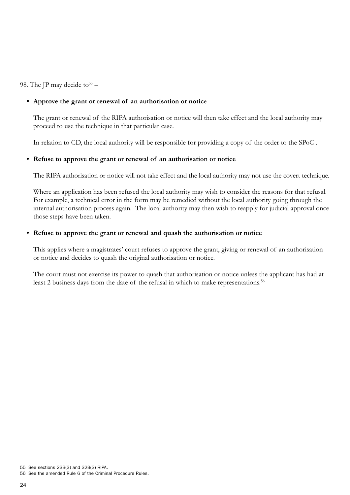98. The JP may decide to  $55 -$ 

## **• Approve the grant or renewal of an authorisation or notic**e

The grant or renewal of the RIPA authorisation or notice will then take effect and the local authority may proceed to use the technique in that particular case.

In relation to CD, the local authority will be responsible for providing a copy of the order to the SPoC .

## **Refuse to approve the grant or renewal of an authorisation or notice**

The RIPA authorisation or notice will not take effect and the local authority may not use the covert technique.

Where an application has been refused the local authority may wish to consider the reasons for that refusal. For example, a technical error in the form may be remedied without the local authority going through the internal authorisation process again. The local authority may then wish to reapply for judicial approval once those steps have been taken.

## **• Refuse to approve the grant or renewal and quash the authorisation or notice**

This applies where a magistrates' court refuses to approve the grant, giving or renewal of an authorisation or notice and decides to quash the original authorisation or notice.

The court must not exercise its power to quash that authorisation or notice unless the applicant has had at least 2 business days from the date of the refusal in which to make representations.<sup>56</sup>

<sup>55</sup> See sections 23B(3) and 32B(3) RIPA.

<sup>56</sup> See the amended Rule 6 of the Criminal Procedure Rules.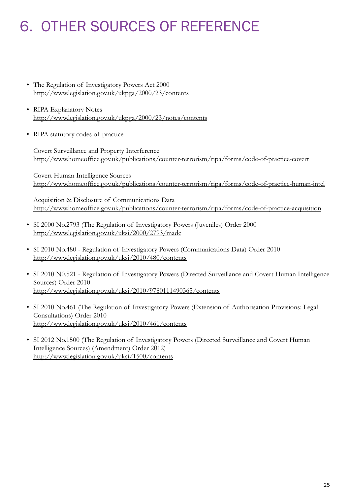# 6. OTHER SOURCES OF REFERENCE

- The Regulation of Investigatory Powers Act 2000 <http://www.legislation.gov.uk/ukpga/2000/23/contents>
- RIPA Explanatory Notes <http://www.legislation.gov.uk/ukpga/2000/23/notes/contents>
- RIPA statutory codes of practice

Covert Surveillance and Property Interference <http://www.homeoffice.gov.uk/publications/counter-terrorism/ripa/forms/code-of-practice-covert>

Covert Human Intelligence Sources <http://www.homeoffice.gov.uk/publications/counter-terrorism/ripa/forms/code-of-practice-human-intel>

Acquisition & Disclosure of Communications Data <http://www.homeoffice.gov.uk/publications/counter-terrorism/ripa/forms/code-of-practice-acquisition>

- SI 2000 No.2793 (The Regulation of Investigatory Powers (Juveniles) Order 2000 <http://www.legislation.gov.uk/uksi/2000/2793/made>
- SI 2010 No.480 Regulation of Investigatory Powers (Communications Data) Order 2010 <http://www.legislation.gov.uk/uksi/2010/480/contents>
- SI 2010 N0.521 Regulation of Investigatory Powers (Directed Surveillance and Covert Human Intelligence Sources) Order 2010 <http://www.legislation.gov.uk/uksi/2010/9780111490365/contents>
- SI 2010 No.461 (The Regulation of Investigatory Powers (Extension of Authorisation Provisions: Legal Consultations) Order 2010 <http://www.legislation.gov.uk/uksi/2010/461/contents>
- SI 2012 No.1500 (The Regulation of Investigatory Powers (Directed Surveillance and Covert Human Intelligence Sources) (Amendment) Order 2012) <http://www.legislation.gov.uk/uksi/1500/contents>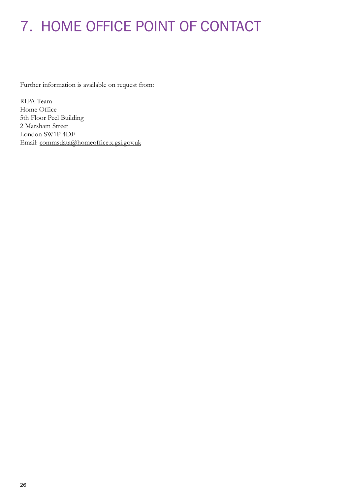# 7. HOME OFFICE POINT OF CONTACT

Further information is available on request from:

RIPA Team Home Office 5th Floor Peel Building 2 Marsham Street London SW1P 4DF Email: [commsdata@homeoffice.x.gsi.gov.uk](mailto:commsdata%40homeoffice.x.gsi.gov.uk?subject=)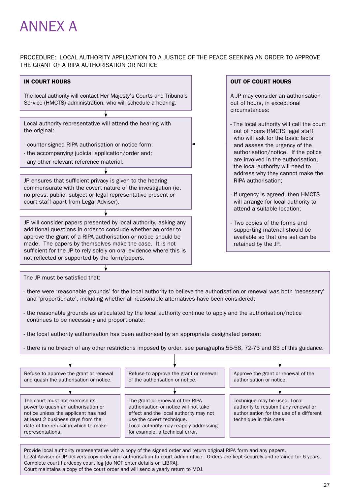# ANNEX A

#### PROCEDURE: LOCAL AUTHORITY APPLICATION TO A JUSTICE OF THE PEACE SEEKING AN ORDER TO APPROVE THE GRANT OF A RIPA AUTHORISATION OR NOTICE



Court maintains a copy of the court order and will send a yearly return to MOJ.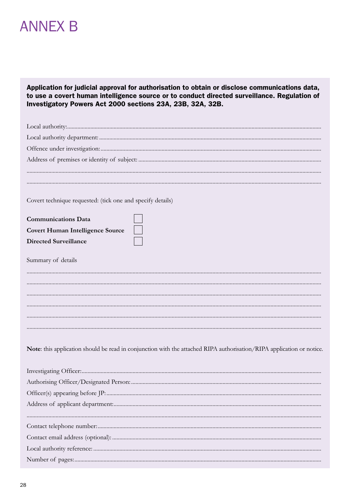# **ANNEX B**

Application for judicial approval for authorisation to obtain or disclose communications data, to use a covert human intelligence source or to conduct directed surveillance. Regulation of Investigatory Powers Act 2000 sections 23A, 23B, 32A, 32B.

| Covert technique requested: (tick one and specify details)                                                            |  |
|-----------------------------------------------------------------------------------------------------------------------|--|
| <b>Communications Data</b>                                                                                            |  |
| <b>Covert Human Intelligence Source</b>                                                                               |  |
| <b>Directed Surveillance</b>                                                                                          |  |
| Summary of details                                                                                                    |  |
|                                                                                                                       |  |
|                                                                                                                       |  |
|                                                                                                                       |  |
|                                                                                                                       |  |
|                                                                                                                       |  |
|                                                                                                                       |  |
| Note: this application should be read in conjunction with the attached RIPA authorisation/RIPA application or notice. |  |
|                                                                                                                       |  |
|                                                                                                                       |  |
|                                                                                                                       |  |
|                                                                                                                       |  |
|                                                                                                                       |  |
|                                                                                                                       |  |
|                                                                                                                       |  |
|                                                                                                                       |  |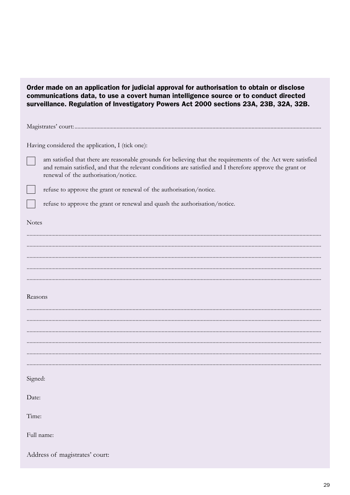| Order made on an application for judicial approval for authorisation to obtain or disclose<br>communications data, to use a covert human intelligence source or to conduct directed<br>surveillance. Regulation of Investigatory Powers Act 2000 sections 23A, 23B, 32A, 32B. |
|-------------------------------------------------------------------------------------------------------------------------------------------------------------------------------------------------------------------------------------------------------------------------------|
|                                                                                                                                                                                                                                                                               |
| Having considered the application, I (tick one):                                                                                                                                                                                                                              |
| am satisfied that there are reasonable grounds for believing that the requirements of the Act were satisfied<br>and remain satisfied, and that the relevant conditions are satisfied and I therefore approve the grant or<br>renewal of the authorisation/notice.             |
| refuse to approve the grant or renewal of the authorisation/notice.                                                                                                                                                                                                           |
| refuse to approve the grant or renewal and quash the authorisation/notice.                                                                                                                                                                                                    |
| <b>Notes</b>                                                                                                                                                                                                                                                                  |
|                                                                                                                                                                                                                                                                               |
|                                                                                                                                                                                                                                                                               |
|                                                                                                                                                                                                                                                                               |
|                                                                                                                                                                                                                                                                               |
|                                                                                                                                                                                                                                                                               |
| Reasons                                                                                                                                                                                                                                                                       |
|                                                                                                                                                                                                                                                                               |
|                                                                                                                                                                                                                                                                               |
|                                                                                                                                                                                                                                                                               |
|                                                                                                                                                                                                                                                                               |
|                                                                                                                                                                                                                                                                               |
| Signed:                                                                                                                                                                                                                                                                       |
| Date:                                                                                                                                                                                                                                                                         |
| Time:                                                                                                                                                                                                                                                                         |
| Full name:                                                                                                                                                                                                                                                                    |
| Address of magistrates' court:                                                                                                                                                                                                                                                |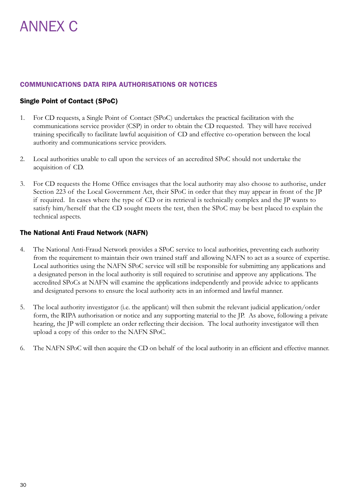# COMMUNICATIONS DATA RIPA AUTHORISATIONS OR NOTICES

# Single Point of Contact (SPoC)

- 1. For CD requests, a Single Point of Contact (SPoC) undertakes the practical facilitation with the communications service provider (CSP) in order to obtain the CD requested. They will have received training specifically to facilitate lawful acquisition of CD and effective co-operation between the local authority and communications service providers.
- 2. Local authorities unable to call upon the services of an accredited SPoC should not undertake the acquisition of CD.
- 3. For CD requests the Home Office envisages that the local authority may also choose to authorise, under Section 223 of the Local Government Act, their SPoC in order that they may appear in front of the JP if required. In cases where the type of CD or its retrieval is technically complex and the JP wants to satisfy him/herself that the CD sought meets the test, then the SPoC may be best placed to explain the technical aspects.

## The National Anti Fraud Network (NAFN)

- 4. The National Anti-Fraud Network provides a SPoC service to local authorities, preventing each authority from the requirement to maintain their own trained staff and allowing NAFN to act as a source of expertise. Local authorities using the NAFN SPoC service will still be responsible for submitting any applications and a designated person in the local authority is still required to scrutinise and approve any applications. The accredited SPoCs at NAFN will examine the applications independently and provide advice to applicants and designated persons to ensure the local authority acts in an informed and lawful manner.
- 5. The local authority investigator (i.e. the applicant) will then submit the relevant judicial application/order form, the RIPA authorisation or notice and any supporting material to the JP. As above, following a private hearing, the JP will complete an order reflecting their decision. The local authority investigator will then upload a copy of this order to the NAFN SPoC.
- 6. The NAFN SPoC will then acquire the CD on behalf of the local authority in an efficient and effective manner.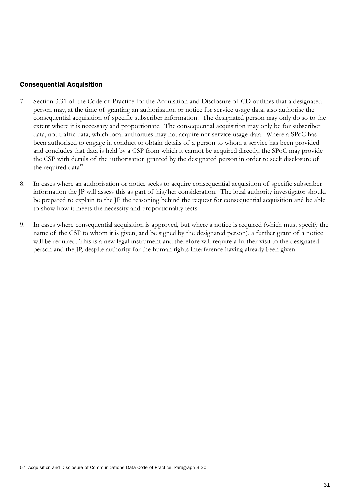# Consequential Acquisition

- 7. Section 3.31 of the Code of Practice for the Acquisition and Disclosure of CD outlines that a designated person may, at the time of granting an authorisation or notice for service usage data, also authorise the consequential acquisition of specific subscriber information. The designated person may only do so to the extent where it is necessary and proportionate. The consequential acquisition may only be for subscriber data, not traffic data, which local authorities may not acquire nor service usage data. Where a SPoC has been authorised to engage in conduct to obtain details of a person to whom a service has been provided and concludes that data is held by a CSP from which it cannot be acquired directly, the SPoC may provide the CSP with details of the authorisation granted by the designated person in order to seek disclosure of the required data<sup>57</sup>.
- 8. In cases where an authorisation or notice seeks to acquire consequential acquisition of specific subscriber information the JP will assess this as part of his/her consideration. The local authority investigator should be prepared to explain to the JP the reasoning behind the request for consequential acquisition and be able to show how it meets the necessity and proportionality tests.
- 9. In cases where consequential acquisition is approved, but where a notice is required (which must specify the name of the CSP to whom it is given, and be signed by the designated person), a further grant of a notice will be required. This is a new legal instrument and therefore will require a further visit to the designated person and the JP, despite authority for the human rights interference having already been given.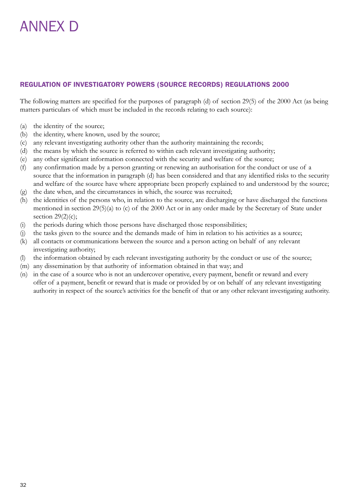# ANNEX D

# REGULATION OF INVESTIGATORY POWERS (SOURCE RECORDS) REGULATIONS 2000

The following matters are specified for the purposes of paragraph (d) of section 29(5) of the 2000 Act (as being matters particulars of which must be included in the records relating to each source):

- (a) the identity of the source;
- (b) the identity, where known, used by the source;
- (c) any relevant investigating authority other than the authority maintaining the records;
- (d) the means by which the source is referred to within each relevant investigating authority;
- (e) any other significant information connected with the security and welfare of the source;
- (f) any confirmation made by a person granting or renewing an authorisation for the conduct or use of a source that the information in paragraph (d) has been considered and that any identified risks to the security and welfare of the source have where appropriate been properly explained to and understood by the source;
- (g) the date when, and the circumstances in which, the source was recruited;
- (h) the identities of the persons who, in relation to the source, are discharging or have discharged the functions mentioned in section 29(5)(a) to (c) of the 2000 Act or in any order made by the Secretary of State under section  $29(2)(c)$ ;
- (i) the periods during which those persons have discharged those responsibilities;
- (j) the tasks given to the source and the demands made of him in relation to his activities as a source;
- (k) all contacts or communications between the source and a person acting on behalf of any relevant investigating authority;
- (l) the information obtained by each relevant investigating authority by the conduct or use of the source;
- (m) any dissemination by that authority of information obtained in that way; and
- (n) in the case of a source who is not an undercover operative, every payment, benefit or reward and every offer of a payment, benefit or reward that is made or provided by or on behalf of any relevant investigating authority in respect of the source's activities for the benefit of that or any other relevant investigating authority.